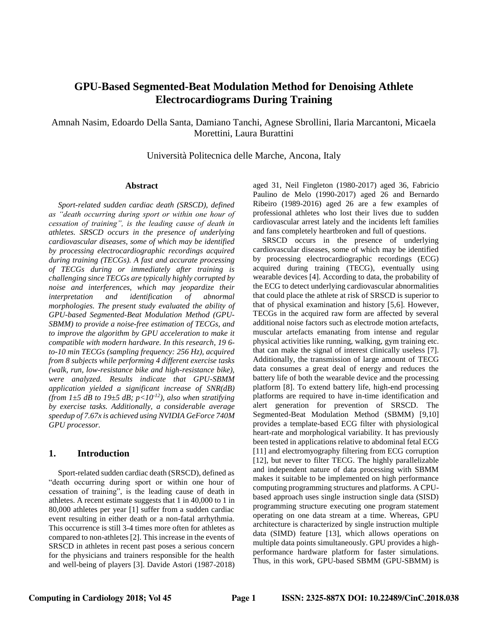# **GPU-Based Segmented-Beat Modulation Method for Denoising Athlete Electrocardiograms During Training**

Amnah Nasim, Edoardo Della Santa, Damiano Tanchi, Agnese Sbrollini, Ilaria Marcantoni, Micaela Morettini, Laura Burattini

Università Politecnica delle Marche, Ancona, Italy

#### **Abstract**

*Sport-related sudden cardiac death (SRSCD), defined as "death occurring during sport or within one hour of cessation of training", is the leading cause of death in athletes. SRSCD occurs in the presence of underlying cardiovascular diseases, some of which may be identified by processing electrocardiographic recordings acquired during training (TECGs). A fast and accurate processing of TECGs during or immediately after training is challenging since TECGs are typically highly corrupted by noise and interferences, which may jeopardize their interpretation and identification of abnormal morphologies. The present study evaluated the ability of GPU-based Segmented-Beat Modulation Method (GPU-SBMM) to provide a noise-free estimation of TECGs, and to improve the algorithm by GPU acceleration to make it compatible with modern hardware. In this research, 19 6 to-10 min TECGs (sampling frequency: 256 Hz), acquired from 8 subjects while performing 4 different exercise tasks (walk, run, low-resistance bike and high-resistance bike), were analyzed. Results indicate that GPU-SBMM application yielded a significant increase of SNR(dB) (from*  $1 \pm 5$  *dB to*  $19 \pm 5$  *dB;*  $p < 10^{-12}$ *), also when stratifying by exercise tasks. Additionally, a considerable average speedup of 7.67x is achieved using NVIDIA GeForce 740M GPU processor.*

### **1. Introduction**

Sport-related sudden cardiac death (SRSCD), defined as "death occurring during sport or within one hour of cessation of training", is the leading cause of death in athletes. A recent estimate suggests that 1 in 40,000 to 1 in 80,000 athletes per year [1] suffer from a sudden cardiac event resulting in either death or a non-fatal arrhythmia. This occurrence is still 3-4 times more often for athletes as compared to non-athletes [2]. This increase in the events of SRSCD in athletes in recent past poses a serious concern for the physicians and trainers responsible for the health and well-being of players [3]. Davide Astori (1987-2018)

aged 31, Neil Fingleton (1980-2017) aged 36, Fabricio Paulino de Melo (1990-2017) aged 26 and Bernardo Ribeiro (1989-2016) aged 26 are a few examples of professional athletes who lost their lives due to sudden cardiovascular arrest lately and the incidents left families and fans completely heartbroken and full of questions.

SRSCD occurs in the presence of underlying cardiovascular diseases, some of which may be identified by processing electrocardiographic recordings (ECG) acquired during training (TECG), eventually using wearable devices [4]. According to data, the probability of the ECG to detect underlying cardiovascular abnormalities that could place the athlete at risk of SRSCD is superior to that of physical examination and history [5,6]. However, TECGs in the acquired raw form are affected by several additional noise factors such as electrode motion artefacts, muscular artefacts emanating from intense and regular physical activities like running, walking, gym training etc. that can make the signal of interest clinically useless [7]. Additionally, the transmission of large amount of TECG data consumes a great deal of energy and reduces the battery life of both the wearable device and the processing platform [8]. To extend battery life, high-end processing platforms are required to have in-time identification and alert generation for prevention of SRSCD. The Segmented-Beat Modulation Method (SBMM) [9,10] provides a template-based ECG filter with physiological heart-rate and morphological variability. It has previously been tested in applications relative to abdominal fetal ECG [11] and electromyography filtering from ECG corruption [12], but never to filter TECG. The highly parallelizable and independent nature of data processing with SBMM makes it suitable to be implemented on high performance computing programming structures and platforms. A CPUbased approach uses single instruction single data (SISD) programming structure executing one program statement operating on one data stream at a time. Whereas, GPU architecture is characterized by single instruction multiple data (SIMD) feature [13], which allows operations on multiple data points simultaneously. GPU provides a highperformance hardware platform for faster simulations. Thus, in this work, GPU-based SBMM (GPU-SBMM) is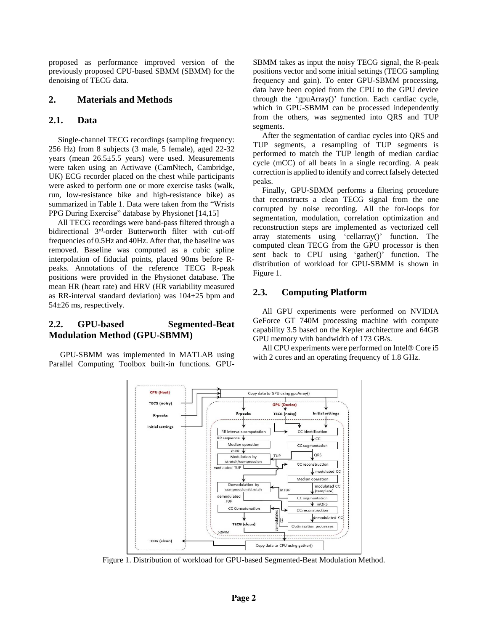proposed as performance improved version of the previously proposed CPU-based SBMM (SBMM) for the denoising of TECG data.

# **2. Materials and Methods**

# **2.1. Data**

Single-channel TECG recordings (sampling frequency: 256 Hz) from 8 subjects (3 male, 5 female), aged 22-32 years (mean 26.5±5.5 years) were used. Measurements were taken using an Actiwave (CamNtech, Cambridge, UK) ECG recorder placed on the chest while participants were asked to perform one or more exercise tasks (walk, run, low-resistance bike and high-resistance bike) as summarized in Table 1. Data were taken from the "Wrists PPG During Exercise" database by Physionet [14,15]

All TECG recordings were band-pass filtered through a bidirectional 3<sup>rd</sup>-order Butterworth filter with cut-off frequencies of 0.5Hz and 40Hz. After that, the baseline was removed. Baseline was computed as a cubic spline interpolation of fiducial points, placed 90ms before Rpeaks. Annotations of the reference TECG R-peak positions were provided in the Physionet database. The mean HR (heart rate) and HRV (HR variability measured as RR-interval standard deviation) was 104±25 bpm and 54±26 ms, respectively.

# **2.2. GPU-based Segmented-Beat Modulation Method (GPU-SBMM)**

GPU-SBMM was implemented in MATLAB using Parallel Computing Toolbox built-in functions. GPU-

SBMM takes as input the noisy TECG signal, the R-peak positions vector and some initial settings (TECG sampling frequency and gain). To enter GPU-SBMM processing, data have been copied from the CPU to the GPU device through the 'gpuArray()' function. Each cardiac cycle, which in GPU-SBMM can be processed independently from the others, was segmented into QRS and TUP segments.

After the segmentation of cardiac cycles into QRS and TUP segments, a resampling of TUP segments is performed to match the TUP length of median cardiac cycle (mCC) of all beats in a single recording. A peak correction is applied to identify and correct falsely detected peaks.

Finally, GPU-SBMM performs a filtering procedure that reconstructs a clean TECG signal from the one corrupted by noise recording. All the for-loops for segmentation, modulation, correlation optimization and reconstruction steps are implemented as vectorized cell array statements using 'cellarray()' function. The computed clean TECG from the GPU processor is then sent back to CPU using 'gather()' function. The distribution of workload for GPU-SBMM is shown in Figure 1.

# **2.3. Computing Platform**

All GPU experiments were performed on NVIDIA GeForce GT 740M processing machine with compute capability 3.5 based on the Kepler architecture and 64GB GPU memory with bandwidth of 173 GB/s.

All CPU experiments were performed on Intel® Core i5 with 2 cores and an operating frequency of 1.8 GHz.



Figure 1. Distribution of workload for GPU-based Segmented-Beat Modulation Method.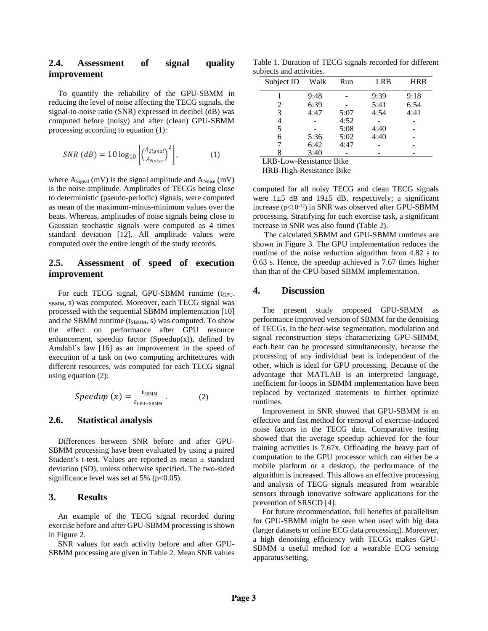# **2.4. Assessment of signal quality improvement**

To quantify the reliability of the GPU-SBMM in reducing the level of noise affecting the TECG signals, the signal-to-noise ratio (SNR) expressed in decibel (dB) was computed before (noisy) and after (clean) GPU-SBMM processing according to equation (1):

$$
SNR (dB) = 10 \log_{10} \left[ \left( \frac{A_{Signal}}{A_{Noise}} \right)^2 \right], \tag{1}
$$

where  $A_{Signal}$  (mV) is the signal amplitude and  $A_{Noise}$  (mV) is the noise amplitude. Amplitudes of TECGs being close to deterministic (pseudo-periodic) signals, were computed as mean of the maximum-minus-minimum values over the beats. Whereas, amplitudes of noise signals being close to Gaussian stochastic signals were computed as 4 times standard deviation [12]. All amplitude values were computed over the entire length of the study records.

# **2.5. Assessment of speed of execution improvement**

For each TECG signal, GPU-SBMM runtime (t<sub>GPU-</sub> SBMM, s) was computed. Moreover, each TECG signal was processed with the sequential SBMM implementation [10] and the SBMM runtime  $(t_{SBMM}, s)$  was computed. To show the effect on performance after GPU resource enhancement, speedup factor (Speedup(x)), defined by Amdahl's law [16] as an improvement in the speed of execution of a task on two computing architectures with different resources, was computed for each TECG signal using equation (2):

$$
Speedup(x) = \frac{t_{SBMM}}{t_{GPU-SBMM}}.\t(2)
$$

### **2.6. Statistical analysis**

Differences between SNR before and after GPU-SBMM processing have been evaluated by using a paired Student's t-test. Values are reported as mean ± standard deviation (SD), unless otherwise specified. The two-sided significance level was set at  $5\%$  (p<0.05).

#### **3. Results**

An example of the TECG signal recorded during exercise before and after GPU-SBMM processing is shown in Figure 2.

SNR values for each activity before and after GPU-SBMM processing are given in Table 2. Mean SNR values

Table 1. Duration of TECG signals recorded for different subjects and activities.

| Subject ID | Walk | Run  | <b>LRB</b> | <b>HRB</b> |
|------------|------|------|------------|------------|
|            | 9:48 |      | 9:39       | 9:18       |
| 2          | 6:39 |      | 5:41       | 6:54       |
| 3          | 4:47 | 5:07 | 4:54       | 4:41       |
| 4          |      | 4:52 |            |            |
| 5          |      | 5:08 | 4:40       |            |
| 6          | 5:36 | 5:02 | 4:40       |            |
|            | 6:42 | 4:47 |            |            |
|            | 3:40 |      |            |            |

LRB-Low-Resistance Bike

HRB-High-Resistance Bike

computed for all noisy TECG and clean TECG signals were  $1\pm 5$  dB and  $19\pm 5$  dB, respectively; a significant increase  $(p<10^{-12})$  in SNR was observed after GPU-SBMM processing. Stratifying for each exercise task, a significant increase in SNR was also found (Table 2).

The calculated SBMM and GPU-SBMM runtimes are shown in Figure 3. The GPU implementation reduces the runtime of the noise reduction algorithm from 4.82 s to 0.63 s. Hence, the speedup achieved is 7.67 times higher than that of the CPU-based SBMM implementation.

### **4. Discussion**

The present study proposed GPU-SBMM as performance improved version of SBMM for the denoising of TECGs. In the beat-wise segmentation, modulation and signal reconstruction steps characterizing GPU-SBMM, each beat can be processed simultaneously, because the processing of any individual beat is independent of the other, which is ideal for GPU processing. Because of the advantage that MATLAB is an interpreted language, inefficient for-loops in SBMM implementation have been replaced by vectorized statements to further optimize runtimes.

Improvement in SNR showed that GPU-SBMM is an effective and fast method for removal of exercise-induced noise factors in the TECG data. Comparative testing showed that the average speedup achieved for the four training activities is 7.67x. Offloading the heavy part of computation to the GPU processor which can either be a mobile platform or a desktop, the performance of the algorithm is increased. This allows an effective processing and analysis of TECG signals measured from wearable sensors through innovative software applications for the prevention of SRSCD [4].

For future recommendation, full benefits of parallelism for GPU-SBMM might be seen when used with big data (larger datasets or online ECG data processing). Moreover, a high denoising efficiency with TECGs makes GPU-SBMM a useful method for a wearable ECG sensing apparatus/setting.